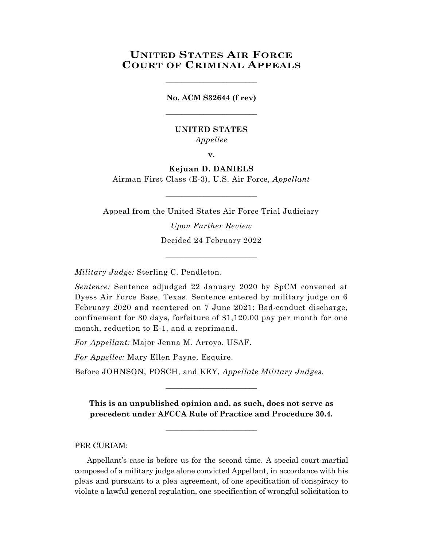## **UNITED STATES AIR FORCE COURT OF CRIMINAL APPEALS**

## **No. ACM S32644 (f rev)** \_\_\_\_\_\_\_\_\_\_\_\_\_\_\_\_\_\_\_\_\_\_\_\_

\_\_\_\_\_\_\_\_\_\_\_\_\_\_\_\_\_\_\_\_\_\_\_\_

## **UNITED STATES** *Appellee*

**v.**

## **Kejuan D. DANIELS**

Airman First Class (E-3), U.S. Air Force, *Appellant*  $\_$ 

Appeal from the United States Air Force Trial Judiciary

*Upon Further Review* Decided 24 February 2022

\_\_\_\_\_\_\_\_\_\_\_\_\_\_\_\_\_\_\_\_\_\_\_\_

*Military Judge:* Sterling C. Pendleton.

*Sentence:* Sentence adjudged 22 January 2020 by SpCM convened at Dyess Air Force Base, Texas. Sentence entered by military judge on 6 February 2020 and reentered on 7 June 2021: Bad-conduct discharge, confinement for 30 days, forfeiture of \$1,120.00 pay per month for one month, reduction to E-1, and a reprimand.

*For Appellant:* Major Jenna M. Arroyo, USAF.

*For Appellee:* Mary Ellen Payne, Esquire.

Before JOHNSON, POSCH, and KEY, *Appellate Military Judges.*

**This is an unpublished opinion and, as such, does not serve as precedent under AFCCA Rule of Practice and Procedure 30.4.**

 $\_$ 

\_\_\_\_\_\_\_\_\_\_\_\_\_\_\_\_\_\_\_\_\_\_\_\_

PER CURIAM:

Appellant's case is before us for the second time. A special court-martial composed of a military judge alone convicted Appellant, in accordance with his pleas and pursuant to a plea agreement, of one specification of conspiracy to violate a lawful general regulation, one specification of wrongful solicitation to